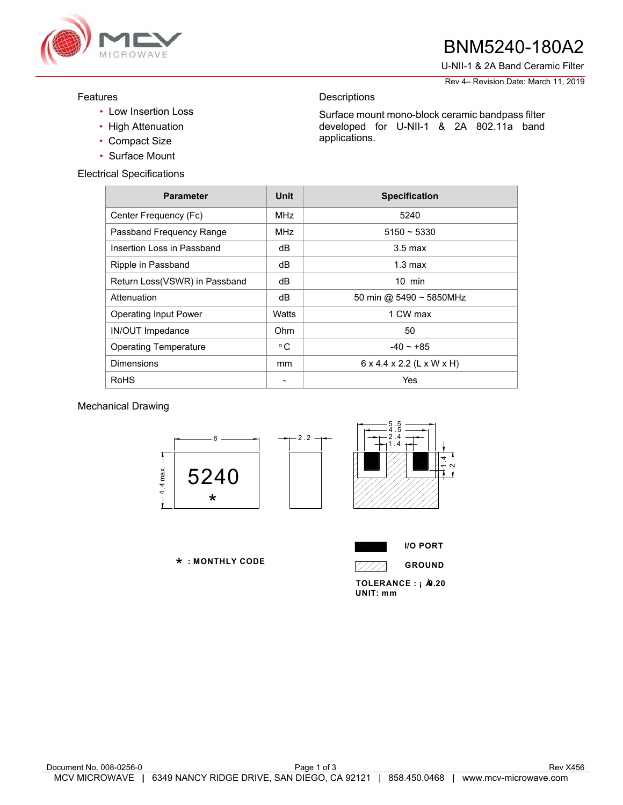

# BNM5240-180A2

U-NII-1 & 2A Band Ceramic Filter

Rev 4– Revision Date: March 11, 2019

### Features

- Low Insertion Loss
- High Attenuation
- Compact Size
- Surface Mount

Electrical Specifications

| <b>Parameter</b>              | <b>Unit</b>   | <b>Specification</b>                  |
|-------------------------------|---------------|---------------------------------------|
| Center Frequency (Fc)         | <b>MHz</b>    | 5240                                  |
| Passband Frequency Range      | MHz           | $5150 \sim 5330$                      |
| Insertion Loss in Passband    | dB            | $3.5 \text{ max}$                     |
| Ripple in Passband            | dB            | $1.3 \text{ max}$                     |
| Return Loss(VSWR) in Passband | dB            | $10$ min                              |
| Attenuation                   | dB            | 50 min @ 5490 $\sim$ 5850MHz          |
| Operating Input Power         | Watts         | 1 CW max                              |
| IN/OUT Impedance              | Ohm           | 50                                    |
| <b>Operating Temperature</b>  | °C            | $-40 - +85$                           |
| <b>Dimensions</b>             | <sub>mm</sub> | $6 \times 4.4 \times 2.2$ (L x W x H) |
| RoHS                          |               | Yes                                   |

**Descriptions** 

applications.

Surface mount mono-block ceramic bandpass filter developed for U-NII-1 & 2A 802.11a band

## Mechanical Drawing



 **: MONTHLY CODE** \*

| <b>I/O PORT</b> |
|-----------------|
|                 |

**GROUND** 77777

TOLERANCE : **; À** .20 **UNIT: mm**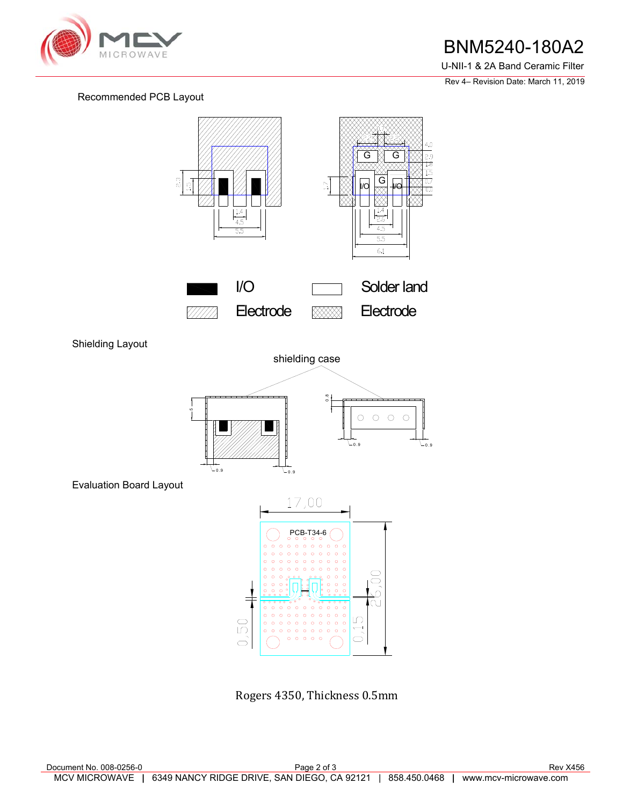

# BNM5240-180A2

U-NII-1 & 2A Band Ceramic Filter

Rev 4– Revision Date: March 11, 2019

### Recommended PCB Layout



Shielding Layout



Evaluation Board Layout



Rogers 4350, Thickness 0.5mm